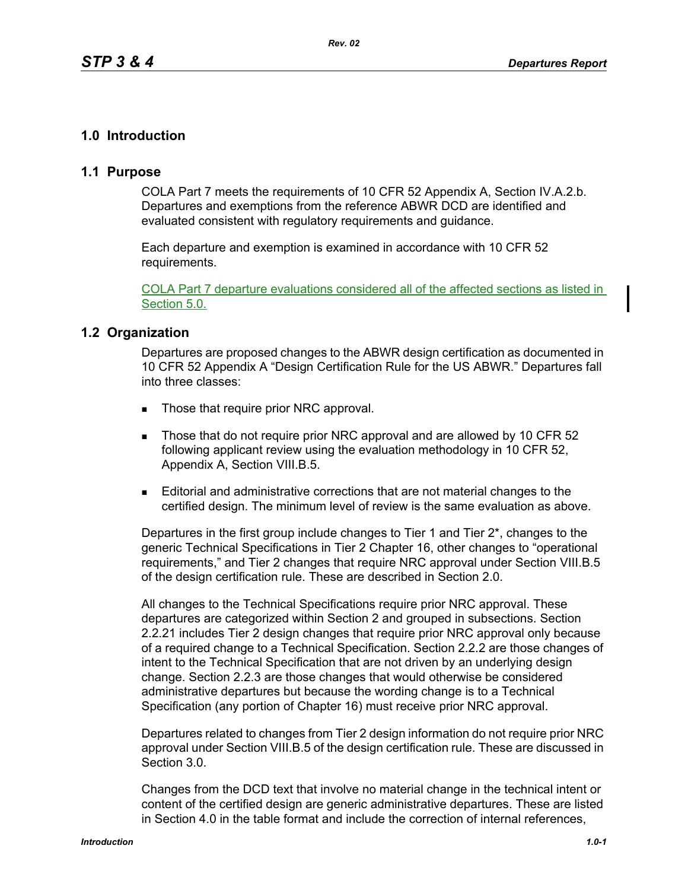## **1.0 Introduction**

### **1.1 Purpose**

COLA Part 7 meets the requirements of 10 CFR 52 Appendix A, Section IV.A.2.b. Departures and exemptions from the reference ABWR DCD are identified and evaluated consistent with regulatory requirements and guidance.

Each departure and exemption is examined in accordance with 10 CFR 52 requirements.

COLA Part 7 departure evaluations considered all of the affected sections as listed in Section 5.0.

### **1.2 Organization**

Departures are proposed changes to the ABWR design certification as documented in 10 CFR 52 Appendix A "Design Certification Rule for the US ABWR." Departures fall into three classes:

- Those that require prior NRC approval.
- Those that do not require prior NRC approval and are allowed by 10 CFR 52 following applicant review using the evaluation methodology in 10 CFR 52, Appendix A, Section VIII.B.5.
- Editorial and administrative corrections that are not material changes to the certified design. The minimum level of review is the same evaluation as above.

Departures in the first group include changes to Tier 1 and Tier 2\*, changes to the generic Technical Specifications in Tier 2 Chapter 16, other changes to "operational requirements," and Tier 2 changes that require NRC approval under Section VIII.B.5 of the design certification rule. These are described in Section 2.0.

All changes to the Technical Specifications require prior NRC approval. These departures are categorized within Section 2 and grouped in subsections. Section 2.2.21 includes Tier 2 design changes that require prior NRC approval only because of a required change to a Technical Specification. Section 2.2.2 are those changes of intent to the Technical Specification that are not driven by an underlying design change. Section 2.2.3 are those changes that would otherwise be considered administrative departures but because the wording change is to a Technical Specification (any portion of Chapter 16) must receive prior NRC approval.

Departures related to changes from Tier 2 design information do not require prior NRC approval under Section VIII.B.5 of the design certification rule. These are discussed in Section 3.0.

Changes from the DCD text that involve no material change in the technical intent or content of the certified design are generic administrative departures. These are listed in Section 4.0 in the table format and include the correction of internal references,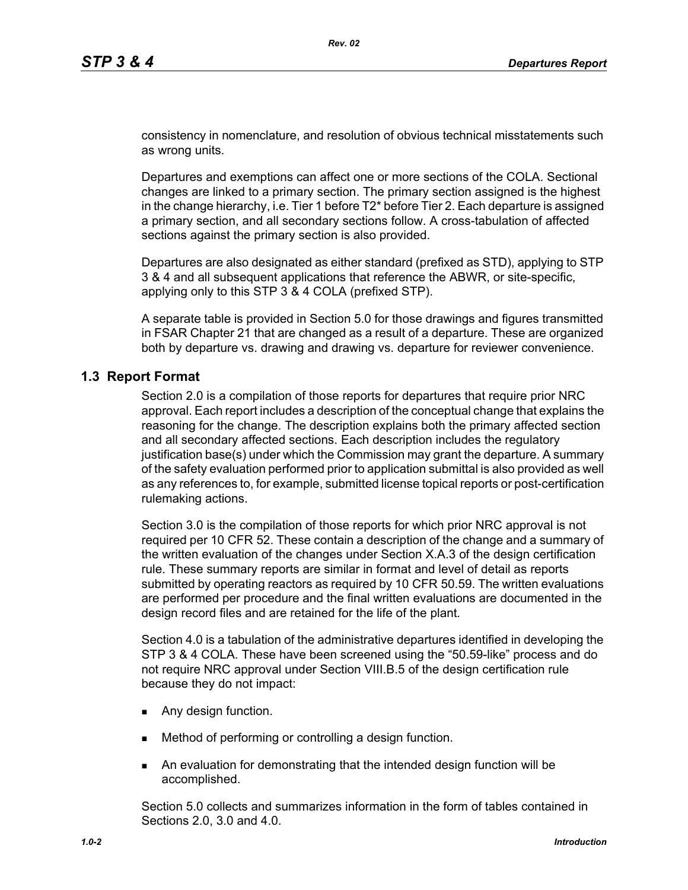consistency in nomenclature, and resolution of obvious technical misstatements such as wrong units.

Departures and exemptions can affect one or more sections of the COLA. Sectional changes are linked to a primary section. The primary section assigned is the highest in the change hierarchy, i.e. Tier 1 before T2\* before Tier 2. Each departure is assigned a primary section, and all secondary sections follow. A cross-tabulation of affected sections against the primary section is also provided.

Departures are also designated as either standard (prefixed as STD), applying to STP 3 & 4 and all subsequent applications that reference the ABWR, or site-specific, applying only to this STP 3 & 4 COLA (prefixed STP).

A separate table is provided in Section 5.0 for those drawings and figures transmitted in FSAR Chapter 21 that are changed as a result of a departure. These are organized both by departure vs. drawing and drawing vs. departure for reviewer convenience.

### **1.3 Report Format**

Section 2.0 is a compilation of those reports for departures that require prior NRC approval. Each report includes a description of the conceptual change that explains the reasoning for the change. The description explains both the primary affected section and all secondary affected sections. Each description includes the regulatory justification base(s) under which the Commission may grant the departure. A summary of the safety evaluation performed prior to application submittal is also provided as well as any references to, for example, submitted license topical reports or post-certification rulemaking actions.

Section 3.0 is the compilation of those reports for which prior NRC approval is not required per 10 CFR 52. These contain a description of the change and a summary of the written evaluation of the changes under Section X.A.3 of the design certification rule. These summary reports are similar in format and level of detail as reports submitted by operating reactors as required by 10 CFR 50.59. The written evaluations are performed per procedure and the final written evaluations are documented in the design record files and are retained for the life of the plant*.*

Section 4.0 is a tabulation of the administrative departures identified in developing the STP 3 & 4 COLA. These have been screened using the "50.59-like" process and do not require NRC approval under Section VIII.B.5 of the design certification rule because they do not impact:

- **Any design function.**
- Method of performing or controlling a design function.
- An evaluation for demonstrating that the intended design function will be accomplished.

Section 5.0 collects and summarizes information in the form of tables contained in Sections 2.0, 3.0 and 4.0.